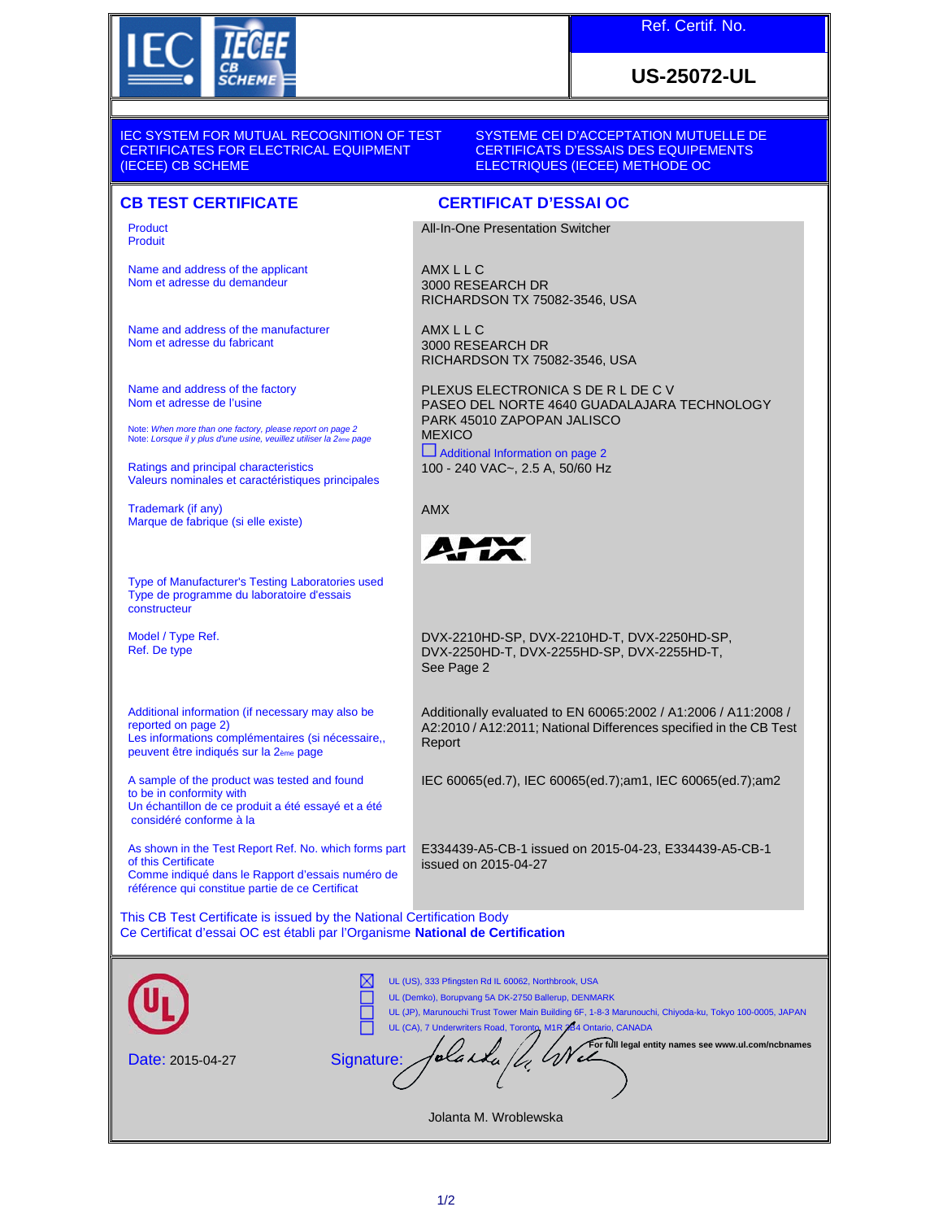

## **US-25072-UL**

IEC SYSTEM FOR MUTUAL RECOGNITION OF TEST CERTIFICATES FOR ELECTRICAL EQUIPMENT (IECEE) CB SCHEME

Product Produit

Name and address of the applicant Nom et adresse du demandeur

Name and address of the manufacturer Nom et adresse du fabricant

Name and address of the factory Nom et adresse de l'usine

Note: *When more than one factory, please report on page 2* Note: *Lorsque il y plus d'une usine, veuillez utiliser la 2ème page*

Ratings and principal characteristics Valeurs nominales et caractéristiques principales

Trademark (if any) Marque de fabrique (si elle existe)

Type of Manufacturer's Testing Laboratories used Type de programme du laboratoire d'essais constructeur

Model / Type Ref. Ref. De type

Additional information (if necessary may also be reported on page 2) Les informations complémentaires (si nécessaire,, peuvent être indiqués sur la 2ème page

A sample of the product was tested and found to be in conformity with Un échantillon de ce produit a été essayé et a été considéré conforme à la

As shown in the Test Report Ref. No. which forms part of this Certificate Comme indiqué dans le Rapport d'essais numéro de

référence qui constitue partie de ce Certificat

This CB Test Certificate is issued by the National Certification Body Ce Certificat d'essai OC est établi par l'Organisme **National de Certification**

| <b>Date: 2015-04-27</b> | UL (US), 333 Pfingsten Rd IL 60062, Northbrook, USA<br>UL (Demko), Borupvang 5A DK-2750 Ballerup, DENMARK<br>UL (JP), Marunouchi Trust Tower Main Building 6F, 1-8-3 Marunouchi, Chiyoda-ku, Tokyo 100-0005, JAPAN<br>UL (CA), 7 Underwriters Road, Toronto, M1R 284 Ontario, CANADA<br>For full legal entity names see www.ul.com/ncbnames<br>Signature: |
|-------------------------|-----------------------------------------------------------------------------------------------------------------------------------------------------------------------------------------------------------------------------------------------------------------------------------------------------------------------------------------------------------|

SYSTEME CEI D'ACCEPTATION MUTUELLE DE CERTIFICATS D'ESSAIS DES EQUIPEMENTS ELECTRIQUES (IECEE) METHODE OC

### **CB TEST CERTIFICATE CERTIFICAT D'ESSAI OC**

All-In-One Presentation Switcher

AMX L L C 3000 RESEARCH DR RICHARDSON TX 75082-3546, USA

AMX L L C 3000 RESEARCH DR RICHARDSON TX 75082-3546, USA

PLEXUS ELECTRONICA S DE R L DE C V PASEO DEL NORTE 4640 GUADALAJARA TECHNOLOGY PARK 45010 ZAPOPAN JALISCO **MEXICO** Additional Information on page 2

100 - 240 VAC~, 2.5 A, 50/60 Hz

AMX



DVX-2210HD-SP, DVX-2210HD-T, DVX-2250HD-SP, DVX-2250HD-T, DVX-2255HD-SP, DVX-2255HD-T, See Page 2

Additionally evaluated to EN 60065:2002 / A1:2006 / A11:2008 / A2:2010 / A12:2011; National Differences specified in the CB Test Report

IEC 60065(ed.7), IEC 60065(ed.7);am1, IEC 60065(ed.7);am2

E334439-A5-CB-1 issued on 2015-04-23, E334439-A5-CB-1 issued on 2015-04-27

Jolanta M. Wroblewska